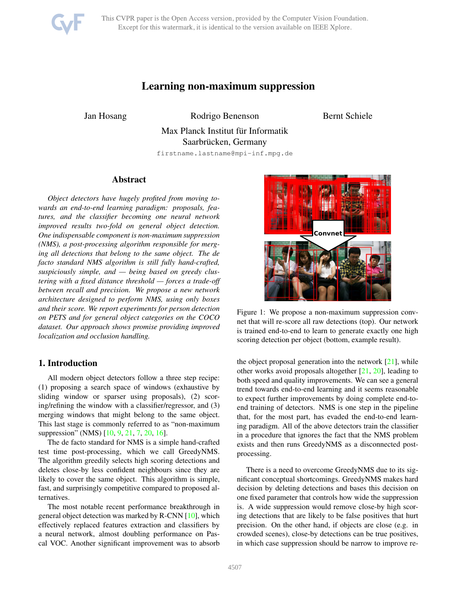<span id="page-0-0"></span>

This CVPR paper is the Open Access version, provided by the Computer Vision Foundation. Except for this watermark, it is identical to the version available on IEEE Xplore.

# Learning non-maximum suppression

Jan Hosang Rodrigo Benenson

Bernt Schiele

Max Planck Institut für Informatik Saarbrücken, Germany firstname.lastname@mpi-inf.mpg.de

### Abstract

*Object detectors have hugely profited from moving towards an end-to-end learning paradigm: proposals, features, and the classifier becoming one neural network improved results two-fold on general object detection. One indispensable component is non-maximum suppression (NMS), a post-processing algorithm responsible for merging all detections that belong to the same object. The de facto standard NMS algorithm is still fully hand-crafted, suspiciously simple, and — being based on greedy clustering with a fixed distance threshold — forces a trade-off between recall and precision. We propose a new network architecture designed to perform NMS, using only boxes and their score. We report experiments for person detection on PETS and for general object categories on the COCO dataset. Our approach shows promise providing improved localization and occlusion handling.*

# 1. Introduction

All modern object detectors follow a three step recipe: (1) proposing a search space of windows (exhaustive by sliding window or sparser using proposals), (2) scoring/refining the window with a classifier/regressor, and (3) merging windows that might belong to the same object. This last stage is commonly referred to as "non-maximum suppression" (NMS) [\[10,](#page-7-0) [9,](#page-7-1) [21,](#page-8-0) [7,](#page-7-2) [20,](#page-8-1) [16\]](#page-8-2).

The de facto standard for NMS is a simple hand-crafted test time post-processing, which we call GreedyNMS. The algorithm greedily selects high scoring detections and deletes close-by less confident neighbours since they are likely to cover the same object. This algorithm is simple, fast, and surprisingly competitive compared to proposed alternatives.

The most notable recent performance breakthrough in general object detection was marked by R-CNN [\[10\]](#page-7-0), which effectively replaced features extraction and classifiers by a neural network, almost doubling performance on Pascal VOC. Another significant improvement was to absorb



Figure 1: We propose a non-maximum suppression convnet that will re-score all raw detections (top). Our network is trained end-to-end to learn to generate exactly one high scoring detection per object (bottom, example result).

the object proposal generation into the network  $[21]$ , while other works avoid proposals altogether [\[21,](#page-8-0) [20\]](#page-8-1), leading to both speed and quality improvements. We can see a general trend towards end-to-end learning and it seems reasonable to expect further improvements by doing complete end-toend training of detectors. NMS is one step in the pipeline that, for the most part, has evaded the end-to-end learning paradigm. All of the above detectors train the classifier in a procedure that ignores the fact that the NMS problem exists and then runs GreedyNMS as a disconnected postprocessing.

There is a need to overcome GreedyNMS due to its significant conceptual shortcomings. GreedyNMS makes hard decision by deleting detections and bases this decision on one fixed parameter that controls how wide the suppression is. A wide suppression would remove close-by high scoring detections that are likely to be false positives that hurt precision. On the other hand, if objects are close (e.g. in crowded scenes), close-by detections can be true positives, in which case suppression should be narrow to improve re-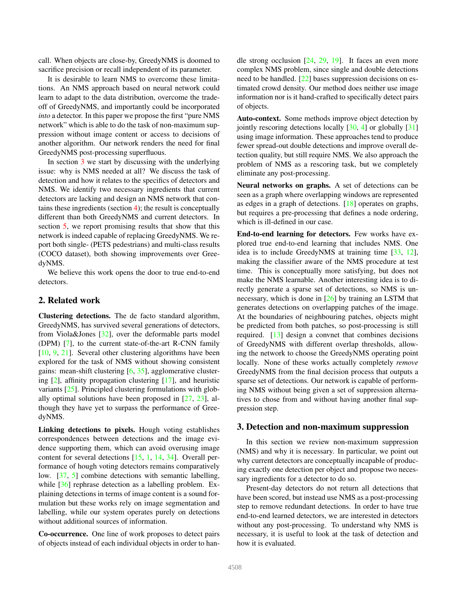<span id="page-1-1"></span>call. When objects are close-by, GreedyNMS is doomed to sacrifice precision or recall independent of its parameter.

It is desirable to learn NMS to overcome these limitations. An NMS approach based on neural network could learn to adapt to the data distribution, overcome the tradeoff of GreedyNMS, and importantly could be incorporated *into* a detector. In this paper we propose the first "pure NMS network" which is able to do the task of non-maximum suppression without image content or access to decisions of another algorithm. Our network renders the need for final GreedyNMS post-processing superfluous.

In section [3](#page-1-0) we start by discussing with the underlying issue: why is NMS needed at all? We discuss the task of detection and how it relates to the specifics of detectors and NMS. We identify two necessary ingredients that current detectors are lacking and design an NMS network that contains these ingredients (section  $\frac{4}{1}$ ); the result is conceptually different than both GreedyNMS and current detectors. In section [5,](#page-5-0) we report promising results that show that this network is indeed capable of replacing GreedyNMS. We report both single- (PETS pedestrians) and multi-class results (COCO dataset), both showing improvements over GreedyNMS.

We believe this work opens the door to true end-to-end detectors.

# 2. Related work

Clustering detections. The de facto standard algorithm, GreedyNMS, has survived several generations of detectors, from Viola&Jones [\[32\]](#page-8-3), over the deformable parts model (DPM) [\[7\]](#page-7-2), to the current state-of-the-art R-CNN family [\[10,](#page-7-0) [9,](#page-7-1) [21\]](#page-8-0). Several other clustering algorithms have been explored for the task of NMS without showing consistent gains: mean-shift clustering  $[6, 35]$  $[6, 35]$ , agglomerative clustering [\[2\]](#page-7-4), affinity propagation clustering [\[17\]](#page-8-5), and heuristic variants [\[25\]](#page-8-6). Principled clustering formulations with globally optimal solutions have been proposed in  $[27, 23]$  $[27, 23]$ , although they have yet to surpass the performance of GreedyNMS.

Linking detections to pixels. Hough voting establishes correspondences between detections and the image evidence supporting them, which can avoid overusing image content for several detections [\[15,](#page-8-9) [1,](#page-7-5) [14,](#page-8-10) [34\]](#page-8-11). Overall performance of hough voting detectors remains comparatively low. [\[37,](#page-8-12) [5\]](#page-7-6) combine detections with semantic labelling, while [\[36\]](#page-8-13) rephrase detection as a labelling problem. Explaining detections in terms of image content is a sound formulation but these works rely on image segmentation and labelling, while our system operates purely on detections without additional sources of information.

Co-occurrence. One line of work proposes to detect pairs of objects instead of each individual objects in order to handle strong occlusion [\[24,](#page-8-14) [29,](#page-8-15) [19\]](#page-8-16). It faces an even more complex NMS problem, since single and double detections need to be handled. [\[22\]](#page-8-17) bases suppression decisions on estimated crowd density. Our method does neither use image information nor is it hand-crafted to specifically detect pairs of objects.

Auto-context. Some methods improve object detection by jointly rescoring detections locally  $[30, 4]$  $[30, 4]$  $[30, 4]$  or globally  $[31]$ using image information. These approaches tend to produce fewer spread-out double detections and improve overall detection quality, but still require NMS. We also approach the problem of NMS as a rescoring task, but we completely eliminate any post-processing.

Neural networks on graphs. A set of detections can be seen as a graph where overlapping windows are represented as edges in a graph of detections. [\[18\]](#page-8-20) operates on graphs, but requires a pre-processing that defines a node ordering, which is ill-defined in our case.

End-to-end learning for detectors. Few works have explored true end-to-end learning that includes NMS. One idea is to include GreedyNMS at training time [\[33,](#page-8-21) [12\]](#page-8-22), making the classifier aware of the NMS procedure at test time. This is conceptually more satisfying, but does not make the NMS learnable. Another interesting idea is to directly generate a sparse set of detections, so NMS is unnecessary, which is done in [\[26\]](#page-8-23) by training an LSTM that generates detections on overlapping patches of the image. At the boundaries of neighbouring patches, objects might be predicted from both patches, so post-processing is still required. [\[13\]](#page-8-24) design a convnet that combines decisions of GreedyNMS with different overlap thresholds, allowing the network to choose the GreedyNMS operating point locally. None of these works actually completely *remove* GreedyNMS from the final decision process that outputs a sparse set of detections. Our network is capable of performing NMS without being given a set of suppression alternatives to chose from and without having another final suppression step.

### <span id="page-1-0"></span>3. Detection and non-maximum suppression

In this section we review non-maximum suppression (NMS) and why it is necessary. In particular, we point out why current detectors are conceptually incapable of producing exactly one detection per object and propose two necessary ingredients for a detector to do so.

Present-day detectors do not return all detections that have been scored, but instead use NMS as a post-processing step to remove redundant detections. In order to have true end-to-end learned detectors, we are interested in detectors without any post-processing. To understand why NMS is necessary, it is useful to look at the task of detection and how it is evaluated.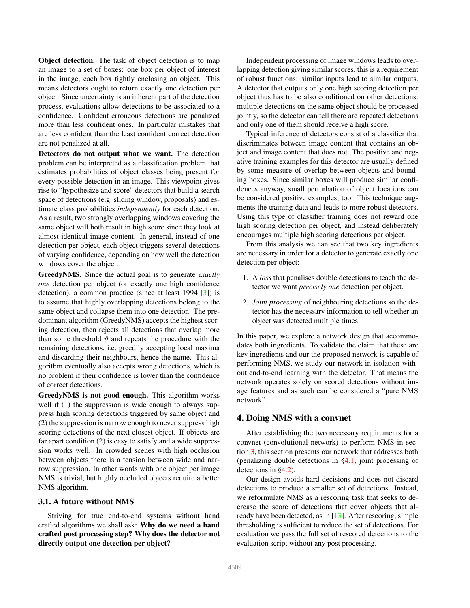<span id="page-2-1"></span>Object detection. The task of object detection is to map an image to a set of boxes: one box per object of interest in the image, each box tightly enclosing an object. This means detectors ought to return exactly one detection per object. Since uncertainty is an inherent part of the detection process, evaluations allow detections to be associated to a confidence. Confident erroneous detections are penalized more than less confident ones. In particular mistakes that are less confident than the least confident correct detection are not penalized at all.

Detectors do not output what we want. The detection problem can be interpreted as a classification problem that estimates probabilities of object classes being present for every possible detection in an image. This viewpoint gives rise to "hypothesize and score" detectors that build a search space of detections (e.g. sliding window, proposals) and estimate class probabilities *independently* for each detection. As a result, two strongly overlapping windows covering the same object will both result in high score since they look at almost identical image content. In general, instead of one detection per object, each object triggers several detections of varying confidence, depending on how well the detection windows cover the object.

GreedyNMS. Since the actual goal is to generate *exactly one* detection per object (or exactly one high confidence detection), a common practice (since at least 1994 [\[3\]](#page-7-8)) is to assume that highly overlapping detections belong to the same object and collapse them into one detection. The predominant algorithm (GreedyNMS) accepts the highest scoring detection, then rejects all detections that overlap more than some threshold  $\vartheta$  and repeats the procedure with the remaining detections, i.e. greedily accepting local maxima and discarding their neighbours, hence the name. This algorithm eventually also accepts wrong detections, which is no problem if their confidence is lower than the confidence of correct detections.

GreedyNMS is not good enough. This algorithm works well if (1) the suppression is wide enough to always suppress high scoring detections triggered by same object and (2) the suppression is narrow enough to never suppress high scoring detections of the next closest object. If objects are far apart condition (2) is easy to satisfy and a wide suppression works well. In crowded scenes with high occlusion between objects there is a tension between wide and narrow suppression. In other words with one object per image NMS is trivial, but highly occluded objects require a better NMS algorithm.

# 3.1. A future without NMS

Striving for true end-to-end systems without hand crafted algorithms we shall ask: Why do we need a hand crafted post processing step? Why does the detector not directly output one detection per object?

Independent processing of image windows leads to overlapping detection giving similar scores, this is a requirement of robust functions: similar inputs lead to similar outputs. A detector that outputs only one high scoring detection per object thus has to be also conditioned on other detections: multiple detections on the same object should be processed jointly, so the detector can tell there are repeated detections and only one of them should receive a high score.

Typical inference of detectors consist of a classifier that discriminates between image content that contains an object and image content that does not. The positive and negative training examples for this detector are usually defined by some measure of overlap between objects and bounding boxes. Since similar boxes will produce similar confidences anyway, small perturbation of object locations can be considered positive examples, too. This technique augments the training data and leads to more robust detectors. Using this type of classifier training does not reward one high scoring detection per object, and instead deliberately encourages multiple high scoring detections per object.

From this analysis we can see that two key ingredients are necessary in order for a detector to generate exactly one detection per object:

- 1. A *loss* that penalises double detections to teach the detector we want *precisely one* detection per object.
- 2. *Joint processing* of neighbouring detections so the detector has the necessary information to tell whether an object was detected multiple times.

In this paper, we explore a network design that accommodates both ingredients. To validate the claim that these are key ingredients and our the proposed network is capable of performing NMS, we study our network in isolation without end-to-end learning with the detector. That means the network operates solely on scored detections without image features and as such can be considered a "pure NMS network".

# <span id="page-2-0"></span>4. Doing NMS with a convnet

After establishing the two necessary requirements for a convnet (convolutional network) to perform NMS in section [3,](#page-1-0) this section presents our network that addresses both (penalizing double detections in [§4.1,](#page-3-0) joint processing of detections in [§4.2\)](#page-3-1).

Our design avoids hard decisions and does not discard detections to produce a smaller set of detections. Instead, we reformulate NMS as a rescoring task that seeks to decrease the score of detections that cover objects that already have been detected, as in [\[13\]](#page-8-24). After rescoring, simple thresholding is sufficient to reduce the set of detections. For evaluation we pass the full set of rescored detections to the evaluation script without any post processing.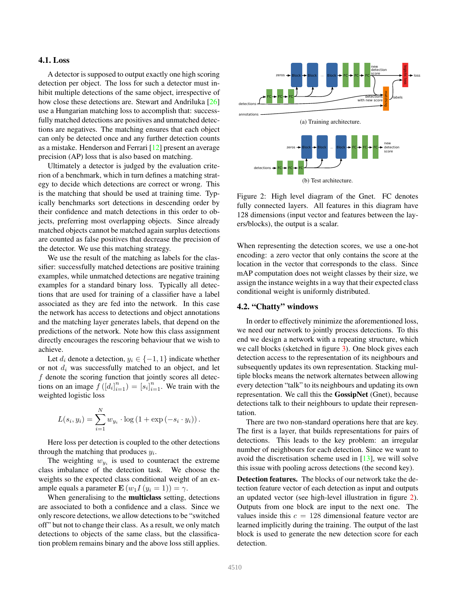### <span id="page-3-3"></span><span id="page-3-0"></span>4.1. Loss

A detector is supposed to output exactly one high scoring detection per object. The loss for such a detector must inhibit multiple detections of the same object, irrespective of how close these detections are. Stewart and Andriluka [\[26\]](#page-8-23) use a Hungarian matching loss to accomplish that: successfully matched detections are positives and unmatched detections are negatives. The matching ensures that each object can only be detected once and any further detection counts as a mistake. Henderson and Ferrari [\[12\]](#page-8-22) present an average precision (AP) loss that is also based on matching.

Ultimately a detector is judged by the evaluation criterion of a benchmark, which in turn defines a matching strategy to decide which detections are correct or wrong. This is the matching that should be used at training time. Typically benchmarks sort detections in descending order by their confidence and match detections in this order to objects, preferring most overlapping objects. Since already matched objects cannot be matched again surplus detections are counted as false positives that decrease the precision of the detector. We use this matching strategy.

We use the result of the matching as labels for the classifier: successfully matched detections are positive training examples, while unmatched detections are negative training examples for a standard binary loss. Typically all detections that are used for training of a classifier have a label associated as they are fed into the network. In this case the network has access to detections and object annotations and the matching layer generates labels, that depend on the predictions of the network. Note how this class assignment directly encourages the rescoring behaviour that we wish to achieve.

Let  $d_i$  denote a detection,  $y_i \in \{-1, 1\}$  indicate whether or not  $d_i$  was successfully matched to an object, and let  $f$  denote the scoring function that jointly scores all detections on an image  $f([d_i]_{i=1}^n) = [s_i]_{i=1}^n$ . We train with the weighted logistic loss

$$
L(s_i, y_i) = \sum_{i=1}^{N} w_{y_i} \cdot \log (1 + \exp (-s_i \cdot y_i)).
$$

Here loss per detection is coupled to the other detections through the matching that produces  $y_i$ .

The weighting  $w_{y_i}$  is used to counteract the extreme class imbalance of the detection task. We choose the weights so the expected class conditional weight of an example equals a parameter  $\mathbf{E}(w_1 I (y_i = 1)) = \gamma$ .

When generalising to the **multiclass** setting, detections are associated to both a confidence and a class. Since we only rescore detections, we allow detections to be "switched off" but not to change their class. As a result, we only match detections to objects of the same class, but the classification problem remains binary and the above loss still applies.

<span id="page-3-2"></span>

Figure 2: High level diagram of the Gnet. FC denotes fully connected layers. All features in this diagram have 128 dimensions (input vector and features between the layers/blocks), the output is a scalar.

When representing the detection scores, we use a one-hot encoding: a zero vector that only contains the score at the location in the vector that corresponds to the class. Since mAP computation does not weight classes by their size, we assign the instance weights in a way that their expected class conditional weight is uniformly distributed.

# <span id="page-3-1"></span>4.2. "Chatty" windows

In order to effectively minimize the aforementioned loss, we need our network to jointly process detections. To this end we design a network with a repeating structure, which we call blocks (sketched in figure [3\)](#page-4-0). One block gives each detection access to the representation of its neighbours and subsequently updates its own representation. Stacking multiple blocks means the network alternates between allowing every detection "talk" to its neighbours and updating its own representation. We call this the GossipNet (Gnet), because detections talk to their neighbours to update their representation.

There are two non-standard operations here that are key. The first is a layer, that builds representations for pairs of detections. This leads to the key problem: an irregular number of neighbours for each detection. Since we want to avoid the discretisation scheme used in [\[13\]](#page-8-24), we will solve this issue with pooling across detections (the second key).

Detection features. The blocks of our network take the detection feature vector of each detection as input and outputs an updated vector (see high-level illustration in figure [2\)](#page-3-2). Outputs from one block are input to the next one. The values inside this  $c = 128$  dimensional feature vector are learned implicitly during the training. The output of the last block is used to generate the new detection score for each detection.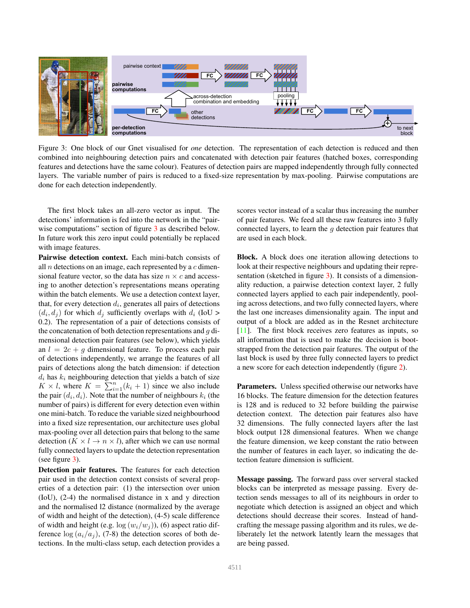<span id="page-4-1"></span><span id="page-4-0"></span>

Figure 3: One block of our Gnet visualised for *one* detection. The representation of each detection is reduced and then combined into neighbouring detection pairs and concatenated with detection pair features (hatched boxes, corresponding features and detections have the same colour). Features of detection pairs are mapped independently through fully connected layers. The variable number of pairs is reduced to a fixed-size representation by max-pooling. Pairwise computations are done for each detection independently.

The first block takes an all-zero vector as input. The detections' information is fed into the network in the "pair-wise computations" section of figure [3](#page-4-0) as described below. In future work this zero input could potentially be replaced with image features.

Pairwise detection context. Each mini-batch consists of all n detections on an image, each represented by a  $c$  dimensional feature vector, so the data has size  $n \times c$  and accessing to another detection's representations means operating within the batch elements. We use a detection context layer, that, for every detection  $d_i$ , generates all pairs of detections  $(d_i, d_j)$  for which  $d_j$  sufficiently overlaps with  $d_i$  (IoU > 0.2). The representation of a pair of detections consists of the concatenation of both detection representations and  $q$  dimensional detection pair features (see below), which yields an  $l = 2c + g$  dimensional feature. To process each pair of detections independently, we arrange the features of all pairs of detections along the batch dimension: if detection  $d_i$  has  $k_i$  neighbouring detection that yields a batch of size  $K \times l$ , where  $K = \sum_{i=1}^{n} (k_i + 1)$  since we also include the pair  $(d_i, d_i)$ . Note that the number of neighbours  $k_i$  (the number of pairs) is different for every detection even within one mini-batch. To reduce the variable sized neighbourhood into a fixed size representation, our architecture uses global max-pooling over all detection pairs that belong to the same detection  $(K \times l \to n \times l)$ , after which we can use normal fully connected layers to update the detection representation (see figure [3\)](#page-4-0).

Detection pair features. The features for each detection pair used in the detection context consists of several properties of a detection pair: (1) the intersection over union (IoU), (2-4) the normalised distance in x and y direction and the normalised l2 distance (normalized by the average of width and height of the detection), (4-5) scale difference of width and height (e.g.  $log(w_i/w_i)$ ), (6) aspect ratio difference  $\log(a_i/a_i)$ , (7-8) the detection scores of both detections. In the multi-class setup, each detection provides a

scores vector instead of a scalar thus increasing the number of pair features. We feed all these raw features into 3 fully connected layers, to learn the  $q$  detection pair features that are used in each block.

Block. A block does one iteration allowing detections to look at their respective neighbours and updating their representation (sketched in figure [3\)](#page-4-0). It consists of a dimensionality reduction, a pairwise detection context layer, 2 fully connected layers applied to each pair independently, pooling across detections, and two fully connected layers, where the last one increases dimensionality again. The input and output of a block are added as in the Resnet architecture [\[11\]](#page-8-25). The first block receives zero features as inputs, so all information that is used to make the decision is bootstrapped from the detection pair features. The output of the last block is used by three fully connected layers to predict a new score for each detection independently (figure [2\)](#page-3-2).

**Parameters.** Unless specified otherwise our networks have 16 blocks. The feature dimension for the detection features is 128 and is reduced to 32 before building the pairwise detection context. The detection pair features also have 32 dimensions. The fully connected layers after the last block output 128 dimensional features. When we change the feature dimension, we keep constant the ratio between the number of features in each layer, so indicating the detection feature dimension is sufficient.

Message passing. The forward pass over serveral stacked blocks can be interpreted as message passing. Every detection sends messages to all of its neighbours in order to negotiate which detection is assigned an object and which detections should decrease their scores. Instead of handcrafting the message passing algorithm and its rules, we deliberately let the network latently learn the messages that are being passed.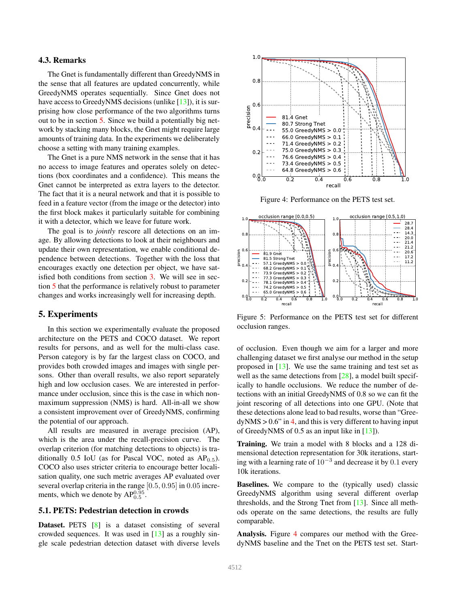### <span id="page-5-3"></span>4.3. Remarks

The Gnet is fundamentally different than GreedyNMS in the sense that all features are updated concurrently, while GreedyNMS operates sequentially. Since Gnet does not have access to GreedyNMS decisions (unlike [\[13\]](#page-8-24)), it is surprising how close performance of the two algorithms turns out to be in section [5.](#page-5-0) Since we build a potentially big network by stacking many blocks, the Gnet might require large amounts of training data. In the experiments we deliberately choose a setting with many training examples.

The Gnet is a pure NMS network in the sense that it has no access to image features and operates solely on detections (box coordinates and a confidence). This means the Gnet cannot be interpreted as extra layers to the detector. The fact that it is a neural network and that it is possible to feed in a feature vector (from the image or the detector) into the first block makes it particularly suitable for combining it with a detector, which we leave for future work.

The goal is to *jointly* rescore all detections on an image. By allowing detections to look at their neighbours and update their own representation, we enable conditional dependence between detections. Together with the loss that encourages exactly one detection per object, we have satisfied both conditions from section [3.](#page-1-0) We will see in section [5](#page-5-0) that the performance is relatively robust to parameter changes and works increasingly well for increasing depth.

# <span id="page-5-0"></span>5. Experiments

In this section we experimentally evaluate the proposed architecture on the PETS and COCO dataset. We report results for persons, and as well for the multi-class case. Person category is by far the largest class on COCO, and provides both crowded images and images with single persons. Other than overall results, we also report separately high and low occlusion cases. We are interested in performance under occlusion, since this is the case in which nonmaximum suppression (NMS) is hard. All-in-all we show a consistent improvement over of GreedyNMS, confirming the potential of our approach.

All results are measured in average precision (AP), which is the area under the recall-precision curve. The overlap criterion (for matching detections to objects) is traditionally 0.5 IoU (as for Pascal VOC, noted as  $AP_{0.5}$ ). COCO also uses stricter criteria to encourage better localisation quality, one such metric averages AP evaluated over several overlap criteria in the range [0.5, 0.95] in 0.05 increments, which we denote by  $AP_{0.5}^{0.95}$ .

# 5.1. PETS: Pedestrian detection in crowds

Dataset. PETS [\[8\]](#page-7-9) is a dataset consisting of several crowded sequences. It was used in  $[13]$  as a roughly single scale pedestrian detection dataset with diverse levels

<span id="page-5-1"></span>

Figure 4: Performance on the PETS test set.

<span id="page-5-2"></span>

Figure 5: Performance on the PETS test set for different occlusion ranges.

of occlusion. Even though we aim for a larger and more challenging dataset we first analyse our method in the setup proposed in  $[13]$ . We use the same training and test set as well as the same detections from [\[28\]](#page-8-26), a model built specifically to handle occlusions. We reduce the number of detections with an initial GreedyNMS of 0.8 so we can fit the joint rescoring of all detections into one GPU. (Note that these detections alone lead to bad results, worse than "Gree $dyNMS > 0.6$ " in [4,](#page-5-1) and this is very different to having input of GreedyNMS of 0.5 as an input like in [\[13\]](#page-8-24)).

Training. We train a model with 8 blocks and a 128 dimensional detection representation for 30k iterations, starting with a learning rate of  $10^{-3}$  and decrease it by 0.1 every 10k iterations.

Baselines. We compare to the (typically used) classic GreedyNMS algorithm using several different overlap thresholds, and the Strong Tnet from [\[13\]](#page-8-24). Since all methods operate on the same detections, the results are fully comparable.

Analysis. Figure [4](#page-5-1) compares our method with the GreedyNMS baseline and the Tnet on the PETS test set. Start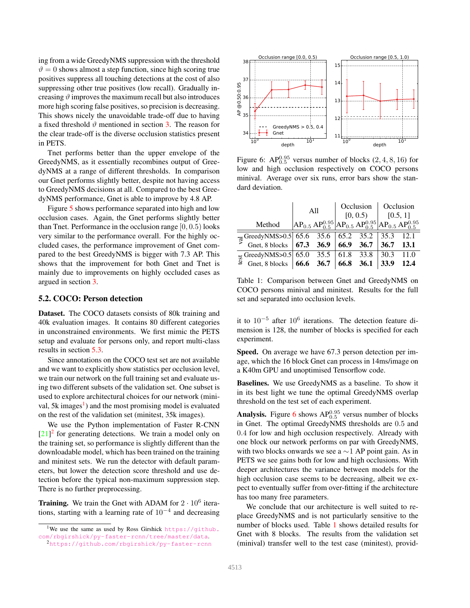<span id="page-6-4"></span>ing from a wide GreedyNMS suppression with the threshold  $\vartheta = 0$  shows almost a step function, since high scoring true positives suppress all touching detections at the cost of also suppressing other true positives (low recall). Gradually increasing  $\vartheta$  improves the maximum recall but also introduces more high scoring false positives, so precision is decreasing. This shows nicely the unavoidable trade-off due to having a fixed threshold  $\vartheta$  mentioned in section [3.](#page-1-0) The reason for the clear trade-off is the diverse occlusion statistics present in PETS.

Tnet performs better than the upper envelope of the GreedyNMS, as it essentially recombines output of GreedyNMS at a range of different thresholds. In comparison our Gnet performs slightly better, despite not having access to GreedyNMS decisions at all. Compared to the best GreedyNMS performance, Gnet is able to improve by 4.8 AP.

Figure [5](#page-5-2) shows performance separated into high and low occlusion cases. Again, the Gnet performs slightly better than Tnet. Performance in the occlusion range [0, 0.5) looks very similar to the performance overall. For the highly occluded cases, the performance improvement of Gnet compared to the best GreedyNMS is bigger with 7.3 AP. This shows that the improvement for both Gnet and Tnet is mainly due to improvements on highly occluded cases as argued in section [3.](#page-1-0)

### 5.2. COCO: Person detection

Dataset. The COCO datasets consists of 80k training and 40k evaluation images. It contains 80 different categories in unconstrained environments. We first mimic the PETS setup and evaluate for persons only, and report multi-class results in section [5.3.](#page-7-10)

Since annotations on the COCO test set are not available and we want to explicitly show statistics per occlusion level, we train our network on the full training set and evaluate using two different subsets of the validation set. One subset is used to explore architectural choices for our network (mini-val, 5k images<sup>[1](#page-6-0)</sup>) and the most promising model is evaluated on the rest of the validation set (minitest, 35k images).

We use the Python implementation of Faster R-CNN  $[21]<sup>2</sup>$  $[21]<sup>2</sup>$  $[21]<sup>2</sup>$  $[21]<sup>2</sup>$  for generating detections. We train a model only on the training set, so performance is slightly different than the downloadable model, which has been trained on the training and minitest sets. We run the detector with default parameters, but lower the detection score threshold and use detection before the typical non-maximum suppression step. There is no further preprocessing.

**Training.** We train the Gnet with ADAM for  $2 \cdot 10^6$  iterations, starting with a learning rate of  $10^{-4}$  and decreasing

<span id="page-6-2"></span>

Figure 6:  $AP_{0.5}^{0.95}$  versus number of blocks  $(2, 4, 8, 16)$  for low and high occlusion respectively on COCO persons minival. Average over six runs, error bars show the standard deviation.

<span id="page-6-3"></span>

|  |                                                                                                                         |     |  | Occusion |                                                                                        | Occlusion             |  |
|--|-------------------------------------------------------------------------------------------------------------------------|-----|--|----------|----------------------------------------------------------------------------------------|-----------------------|--|
|  |                                                                                                                         | A11 |  |          |                                                                                        | $[0, 0.5)$ $[0.5, 1]$ |  |
|  | Method                                                                                                                  |     |  |          | $AR_{0.5}$ AP $_{0.5}^{0.95}$ AP $_{0.5}^{0.95}$ AP $_{0.5}^{0.95}$ AP $_{0.5}^{0.95}$ |                       |  |
|  | $\frac{1}{8}$ GreedyNMS>0.5 65.6 35.6 65.2 35.2 35.3 12.1<br>Gnet, 8 blocks 67.3 36.9 66.9 36.7 36.7 13.1               |     |  |          |                                                                                        |                       |  |
|  |                                                                                                                         |     |  |          |                                                                                        |                       |  |
|  | $\frac{1}{2}$ GreedyNMS>0.5 65.0 35.5 61.8 33.8 30.3 11.0<br>$\frac{1}{2}$ Greet 8 blocks 66.6 36.7 66.8 36.1 33.0 12.4 |     |  |          |                                                                                        |                       |  |
|  | Gnet, 8 blocks   66.6 36.7   66.8 36.1                                                                                  |     |  |          |                                                                                        | 33.9 12.4             |  |

Table 1: Comparison between Gnet and GreedyNMS on COCO persons minival and minitest. Results for the full set and separated into occlusion levels.

it to 10<sup>−</sup><sup>5</sup> after 10<sup>6</sup> iterations. The detection feature dimension is 128, the number of blocks is specified for each experiment.

Speed. On average we have 67.3 person detection per image, which the 16 block Gnet can process in 14ms/image on a K40m GPU and unoptimised Tensorflow code.

Baselines. We use GreedyNMS as a baseline. To show it in its best light we tune the optimal GreedyNMS overlap threshold on the test set of each experiment.

**Analysis.** Figure [6](#page-6-2) shows  $AP_{0.5}^{0.95}$  versus number of blocks in Gnet. The optimal GreedyNMS thresholds are 0.5 and 0.4 for low and high occlusion respectively. Already with one block our network performs on par with GreedyNMS, with two blocks onwards we see a  $\sim$ 1 AP point gain. As in PETS we see gains both for low and high occlusions. With deeper architectures the variance between models for the high occlusion case seems to be decreasing, albeit we expect to eventually suffer from over-fitting if the architecture has too many free parameters.

We conclude that our architecture is well suited to replace GreedyNMS and is not particularly sensitive to the number of blocks used. Table [1](#page-6-3) shows detailed results for Gnet with 8 blocks. The results from the validation set (minival) transfer well to the test case (minitest), provid-

<span id="page-6-0"></span><sup>&</sup>lt;sup>1</sup>We use the same as used by Ross Girshick [https://github.](https://github.com/rbgirshick/py-faster-rcnn/tree/master/data) [com/rbgirshick/py-faster-rcnn/tree/master/data](https://github.com/rbgirshick/py-faster-rcnn/tree/master/data).

<span id="page-6-1"></span><sup>2</sup><https://github.com/rbgirshick/py-faster-rcnn>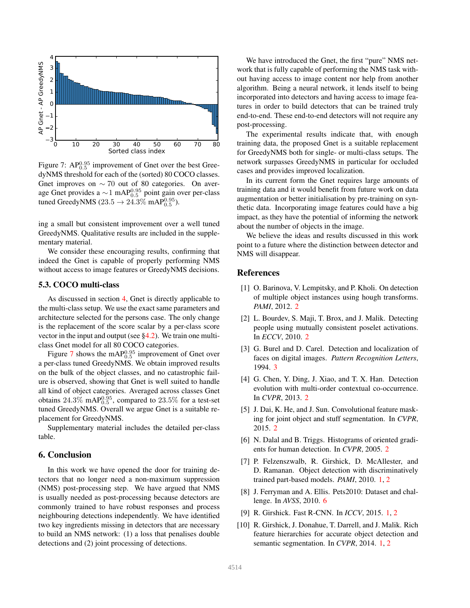<span id="page-7-11"></span>

Figure 7:  $AP_{0.5}^{0.95}$  improvement of Gnet over the best GreedyNMS threshold for each of the (sorted) 80 COCO classes. Gnet improves on  $\sim$  70 out of 80 categories. On average Gnet provides a  $\sim$ 1 mAP $_{0.5}^{0.95}$  point gain over per-class tuned GreedyNMS (23.5  $\rightarrow$  24.3% mAP $_{0.5}^{0.95}$ ).

ing a small but consistent improvement over a well tuned GreedyNMS. Qualitative results are included in the supplementary material.

We consider these encouraging results, confirming that indeed the Gnet is capable of properly performing NMS without access to image features or GreedyNMS decisions.

#### <span id="page-7-10"></span>5.3. COCO multi-class

As discussed in section [4,](#page-2-0) Gnet is directly applicable to the multi-class setup. We use the exact same parameters and architecture selected for the persons case. The only change is the replacement of the score scalar by a per-class score vector in the input and output (see  $\S 4.2$ ). We train one multiclass Gnet model for all 80 COCO categories.

Figure [7](#page-7-11) shows the  $\text{mAP}_{0.5}^{0.95}$  improvement of Gnet over a per-class tuned GreedyNMS. We obtain improved results on the bulk of the object classes, and no catastrophic failure is observed, showing that Gnet is well suited to handle all kind of object categories. Averaged across classes Gnet obtains  $24.3\%$  mAP $_{0.5}^{0.95}$ , compared to  $23.5\%$  for a test-set tuned GreedyNMS. Overall we argue Gnet is a suitable replacement for GreedyNMS.

Supplementary material includes the detailed per-class table.

# 6. Conclusion

In this work we have opened the door for training detectors that no longer need a non-maximum suppression (NMS) post-processing step. We have argued that NMS is usually needed as post-processing because detectors are commonly trained to have robust responses and process neighbouring detections independently. We have identified two key ingredients missing in detectors that are necessary to build an NMS network: (1) a loss that penalises double detections and (2) joint processing of detections.

We have introduced the Gnet, the first "pure" NMS network that is fully capable of performing the NMS task without having access to image content nor help from another algorithm. Being a neural network, it lends itself to being incorporated into detectors and having access to image features in order to build detectors that can be trained truly end-to-end. These end-to-end detectors will not require any post-processing.

The experimental results indicate that, with enough training data, the proposed Gnet is a suitable replacement for GreedyNMS both for single- or multi-class setups. The network surpasses GreedyNMS in particular for occluded cases and provides improved localization.

In its current form the Gnet requires large amounts of training data and it would benefit from future work on data augmentation or better initialisation by pre-training on synthetic data. Incorporating image features could have a big impact, as they have the potential of informing the network about the number of objects in the image.

We believe the ideas and results discussed in this work point to a future where the distinction between detector and NMS will disappear.

### <span id="page-7-5"></span>References

- [1] O. Barinova, V. Lempitsky, and P. Kholi. On detection of multiple object instances using hough transforms. *PAMI*, 2012. [2](#page-1-1)
- <span id="page-7-4"></span>[2] L. Bourdev, S. Maji, T. Brox, and J. Malik. Detecting people using mutually consistent poselet activations. In *ECCV*, 2010. [2](#page-1-1)
- <span id="page-7-8"></span>[3] G. Burel and D. Carel. Detection and localization of faces on digital images. *Pattern Recognition Letters*, 1994. [3](#page-2-1)
- <span id="page-7-7"></span>[4] G. Chen, Y. Ding, J. Xiao, and T. X. Han. Detection evolution with multi-order contextual co-occurrence. In *CVPR*, 2013. [2](#page-1-1)
- <span id="page-7-6"></span>[5] J. Dai, K. He, and J. Sun. Convolutional feature masking for joint object and stuff segmentation. In *CVPR*, 2015. [2](#page-1-1)
- <span id="page-7-3"></span>[6] N. Dalal and B. Triggs. Histograms of oriented gradients for human detection. In *CVPR*, 2005. [2](#page-1-1)
- <span id="page-7-2"></span>[7] P. Felzenszwalb, R. Girshick, D. McAllester, and D. Ramanan. Object detection with discriminatively trained part-based models. *PAMI*, 2010. [1,](#page-0-0) [2](#page-1-1)
- <span id="page-7-9"></span>[8] J. Ferryman and A. Ellis. Pets2010: Dataset and challenge. In *AVSS*, 2010. [6](#page-5-3)
- <span id="page-7-1"></span>[9] R. Girshick. Fast R-CNN. In *ICCV*, 2015. [1,](#page-0-0) [2](#page-1-1)
- <span id="page-7-0"></span>[10] R. Girshick, J. Donahue, T. Darrell, and J. Malik. Rich feature hierarchies for accurate object detection and semantic segmentation. In *CVPR*, 2014. [1,](#page-0-0) [2](#page-1-1)